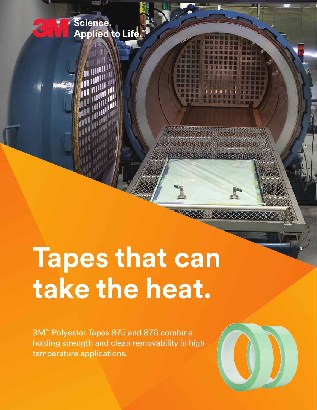

Science.<br>Applied to Life

3M™ Polyester Tapes 875 and 876 combine holding strength and clean removability in high temperature applications.